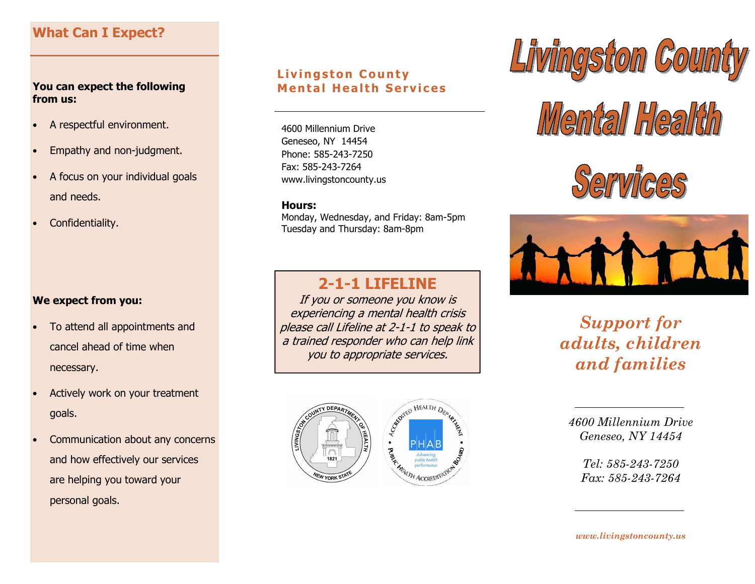# What Can I Expect?

### You can expect the following from us:

- A respectful environment.
- Empathy and non-judgment.
- A focus on your individual goals and needs.
- Confidentiality.

### We expect from you:

- To attend all appointments and cancel ahead of time when necessary.
- Actively work on your treatment goals.
- Communication about any concerns and how effectively our services are helping you toward your personal goals.

### Livingston County **Mental Health Services**

4600 Millennium Drive Geneseo, NY 14454 Phone: 585-243-7250 Fax: 585-243-7264 www.livingstoncounty.us

#### Hours:

 Monday, Wednesday, and Friday: 8am-5pm Tuesday and Thursday: 8am-8pm

# 2-1-1 LIFELINE

 If you or someone you know is experiencing a mental health crisis please call Lifeline at 2-1-1 to speak to a trained responder who can help link you to appropriate services.





# Mental Health





Support for adults, children and families

4600 Millennium Drive Geneseo, NY 14454

> Tel: 585-243-7250 Fax: 585-243-7264

www.livingstoncounty.us